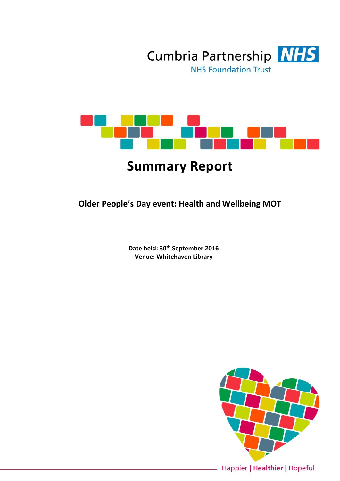



# **Summary Report**

**Older People's Day event: Health and Wellbeing MOT**

**Date held: 30th September 2016 Venue: Whitehaven Library**

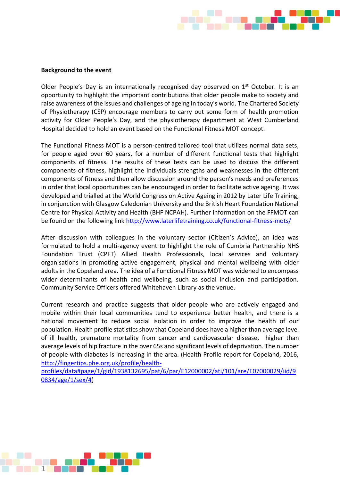

#### **Background to the event**

Older People's Day is an internationally recognised day observed on 1<sup>st</sup> October. It is an opportunity to highlight the important contributions that older people make to society and raise awareness of the issues and challenges of ageing in today's world. The Chartered Society of Physiotherapy (CSP) encourage members to carry out some form of health promotion activity for Older People's Day, and the physiotherapy department at West Cumberland Hospital decided to hold an event based on the Functional Fitness MOT concept.

The Functional Fitness MOT is a person-centred tailored tool that utilizes normal data sets, for people aged over 60 years, for a number of different functional tests that highlight components of fitness. The results of these tests can be used to discuss the different components of fitness, highlight the individuals strengths and weaknesses in the different components of fitness and then allow discussion around the person's needs and preferences in order that local opportunities can be encouraged in order to facilitate active ageing. It was developed and trialled at the World Congress on Active Ageing in 2012 by Later Life Training, in conjunction with Glasgow Caledonian University and the British Heart Foundation National Centre for Physical Activity and Health (BHF NCPAH). Further information on the FFMOT can be found on the following link<http://www.laterlifetraining.co.uk/functional-fitness-mots/>

After discussion with colleagues in the voluntary sector (Citizen's Advice), an idea was formulated to hold a multi-agency event to highlight the role of Cumbria Partnership NHS Foundation Trust (CPFT) Allied Health Professionals, local services and voluntary organisations in promoting active engagement, physical and mental wellbeing with older adults in the Copeland area. The idea of a Functional Fitness MOT was widened to encompass wider determinants of health and wellbeing, such as social inclusion and participation. Community Service Officers offered Whitehaven Library as the venue.

Current research and practice suggests that older people who are actively engaged and mobile within their local communities tend to experience better health, and there is a national movement to reduce social isolation in order to improve the health of our population. Health profile statistics show that Copeland does have a higher than average level of ill health, premature mortality from cancer and cardiovascular disease, higher than average levels of hip fracture in the over 65s and significant levels of deprivation. The number of people with diabetes is increasing in the area. (Health Profile report for Copeland, 2016, [http://fingertips.phe.org.uk/profile/health-](http://fingertips.phe.org.uk/profile/health-profiles/data#page/1/gid/1938132695/pat/6/par/E12000002/ati/101/are/E07000029/iid/90834/age/1/sex/4)

[profiles/data#page/1/gid/1938132695/pat/6/par/E12000002/ati/101/are/E07000029/iid/9](http://fingertips.phe.org.uk/profile/health-profiles/data#page/1/gid/1938132695/pat/6/par/E12000002/ati/101/are/E07000029/iid/90834/age/1/sex/4) [0834/age/1/sex/4\)](http://fingertips.phe.org.uk/profile/health-profiles/data#page/1/gid/1938132695/pat/6/par/E12000002/ati/101/are/E07000029/iid/90834/age/1/sex/4)

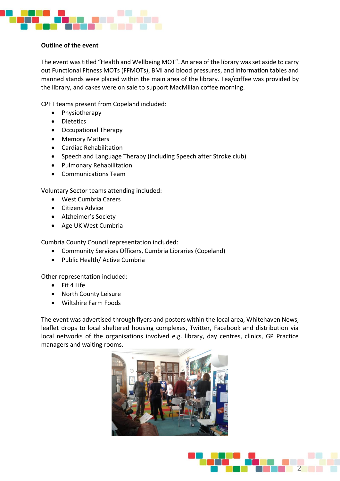

## **Outline of the event**

The event was titled "Health and Wellbeing MOT". An area of the library was set aside to carry out Functional Fitness MOTs (FFMOTs), BMI and blood pressures, and information tables and manned stands were placed within the main area of the library. Tea/coffee was provided by the library, and cakes were on sale to support MacMillan coffee morning.

CPFT teams present from Copeland included:

- Physiotherapy
- Dietetics
- Occupational Therapy
- Memory Matters
- Cardiac Rehabilitation
- Speech and Language Therapy (including Speech after Stroke club)
- Pulmonary Rehabilitation
- Communications Team

Voluntary Sector teams attending included:

- West Cumbria Carers
- Citizens Advice
- Alzheimer's Society
- Age UK West Cumbria

Cumbria County Council representation included:

- Community Services Officers, Cumbria Libraries (Copeland)
- Public Health/ Active Cumbria

Other representation included:

- Fit 4 Life
- North County Leisure
- Wiltshire Farm Foods

The event was advertised through flyers and posters within the local area, Whitehaven News, leaflet drops to local sheltered housing complexes, Twitter, Facebook and distribution via local networks of the organisations involved e.g. library, day centres, clinics, GP Practice managers and waiting rooms.



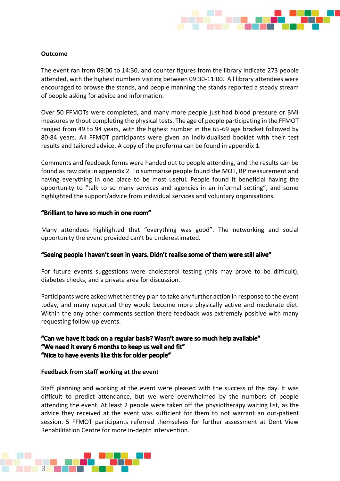

## **Outcome**

The event ran from 09:00 to 14:30, and counter figures from the library indicate 273 people attended, with the highest numbers visiting between 09:30-11:00. All library attendees were encouraged to browse the stands, and people manning the stands reported a steady stream of people asking for advice and information.

Over 50 FFMOTs were completed, and many more people just had blood pressure or BMI measures without completing the physical tests. The age of people participating in the FFMOT ranged from 49 to 94 years, with the highest number in the 65-69 age bracket followed by 80-84 years. All FFMOT participants were given an individualised booklet with their test results and tailored advice. A copy of the proforma can be found in appendix 1.

Comments and feedback forms were handed out to people attending, and the results can be found as raw data in appendix 2. To summarise people found the MOT, BP measurement and having everything in one place to be most useful. People found it beneficial having the opportunity to "talk to so many services and agencies in an informal setting", and some highlighted the support/advice from individual services and voluntary organisations.

### "Brilliant to have so much in one room"

Many attendees highlighted that "everything was good". The networking and social opportunity the event provided can't be underestimated.

## "Seeing people I haven't seen in years. Didn't realise some of them were still alive"

For future events suggestions were cholesterol testing (this may prove to be difficult), diabetes checks, and a private area for discussion.

Participants were asked whether they plan to take any further action in response to the event today, and many reported they would become more physically active and moderate diet. Within the any other comments section there feedback was extremely positive with many requesting follow-up events.

## "Can we have it back on a regular basis? Wasn't aware so much help available" "We need it every 6 months to keep us well and fit" "Nice to have events like this for older people"

### **Feedback from staff working at the event**

Staff planning and working at the event were pleased with the success of the day. It was difficult to predict attendance, but we were overwhelmed by the numbers of people attending the event. At least 2 people were taken off the physiotherapy waiting list, as the advice they received at the event was sufficient for them to not warrant an out-patient session. 5 FFMOT participants referred themselves for further assessment at Dent View Rehabilitation Centre for more in-depth intervention.

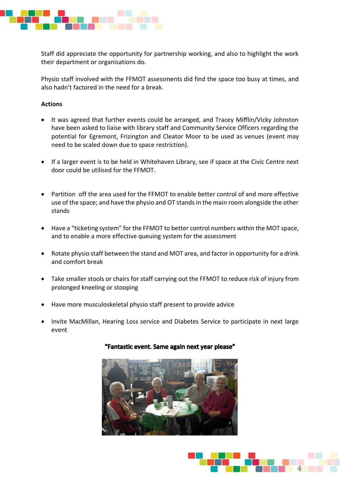

Staff did appreciate the opportunity for partnership working, and also to highlight the work their department or organisations do.

Physio staff involved with the FFMOT assessments did find the space too busy at times, and also hadn't factored in the need for a break.

## **Actions**

- It was agreed that further events could be arranged, and Tracey Mifflin/Vicky Johnston have been asked to liaise with library staff and Community Service Officers regarding the potential for Egremont, Frizington and Cleator Moor to be used as venues (event may need to be scaled down due to space restriction).
- If a larger event is to be held in Whitehaven Library, see if space at the Civic Centre next door could be utilised for the FFMOT.
- Partition off the area used for the FFMOT to enable better control of and more effective use of the space; and have the physio and OT stands in the main room alongside the other stands
- Have a "ticketing system" for the FFMOT to better control numbers within the MOT space, and to enable a more effective queuing system for the assessment
- Rotate physio staff between the stand and MOT area, and factor in opportunity for a drink and comfort break
- Take smaller stools or chairs for staff carrying out the FFMOT to reduce risk of injury from prolonged kneeling or stooping
- Have more musculoskeletal physio staff present to provide advice
- Invite MacMillan, Hearing Loss service and Diabetes Service to participate in next large event



### "Fantastic event. Same again next year please"